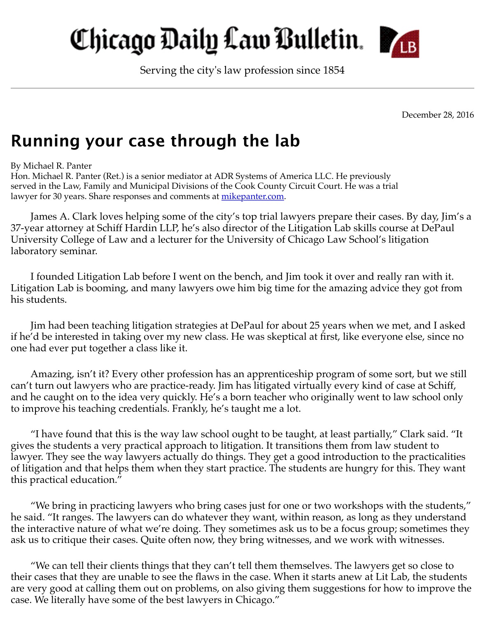## Chicago Daily Law Bulletin. **M**B

Serving the city's law profession since 1854

December 28, 2016

## **Running your case through the lab**

By Michael R. Panter

Hon. Michael R. Panter (Ret.) is a senior mediator at ADR Systems of America LLC. He previously served in the Law, Family and Municipal Divisions of the Cook County Circuit Court. He was a trial lawyer for 30 years. Share responses and comments at <u>mikepanter.com</u>.

James A. Clark loves helping some of the city's top trial lawyers prepare their cases. By day, Jim's a 37-year attorney at Schiff Hardin LLP, he's also director of the Litigation Lab skills course at DePaul University College of Law and a lecturer for the University of Chicago Law School's litigation laboratory seminar.

I founded Litigation Lab before I went on the bench, and Jim took it over and really ran with it. Litigation Lab is booming, and many lawyers owe him big time for the amazing advice they got from his students.

Jim had been teaching litigation strategies at DePaul for about 25 years when we met, and I asked if he'd be interested in taking over my new class. He was skeptical at first, like everyone else, since no one had ever put together a class like it.

Amazing, isn't it? Every other profession has an apprenticeship program of some sort, but we still can't turn out lawyers who are practice-ready. Jim has litigated virtually every kind of case at Schiff, and he caught on to the idea very quickly. He's a born teacher who originally went to law school only to improve his teaching credentials. Frankly, he's taught me a lot.

"I have found that this is the way law school ought to be taught, at least partially," Clark said. "It gives the students a very practical approach to litigation. It transitions them from law student to lawyer. They see the way lawyers actually do things. They get a good introduction to the practicalities of litigation and that helps them when they start practice. The students are hungry for this. They want this practical education."

"We bring in practicing lawyers who bring cases just for one or two workshops with the students," he said. "It ranges. The lawyers can do whatever they want, within reason, as long as they understand the interactive nature of what we're doing. They sometimes ask us to be a focus group; sometimes they ask us to critique their cases. Quite often now, they bring witnesses, and we work with witnesses.

"We can tell their clients things that they can't tell them themselves. The lawyers get so close to their cases that they are unable to see the flaws in the case. When it starts anew at Lit Lab, the students are very good at calling them out on problems, on also giving them suggestions for how to improve the case. We literally have some of the best lawyers in Chicago."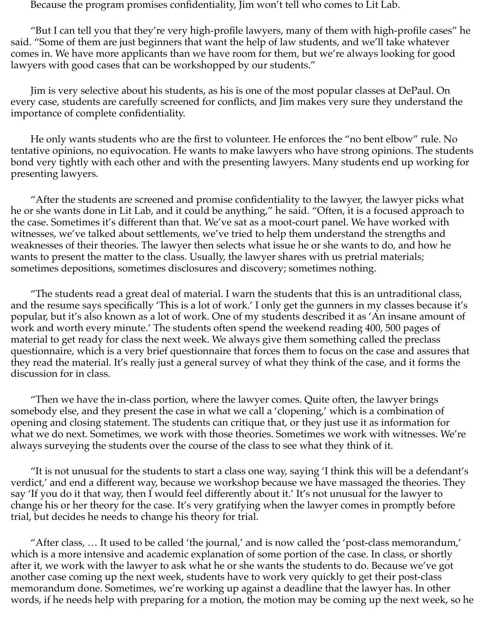Because the program promises confidentiality, Jim won't tell who comes to Lit Lab.

"But I can tell you that they're very high-profile lawyers, many of them with high-profile cases" he said. "Some of them are just beginners that want the help of law students, and we'll take whatever comes in. We have more applicants than we have room for them, but we're always looking for good lawyers with good cases that can be workshopped by our students."

Jim is very selective about his students, as his is one of the most popular classes at DePaul. On every case, students are carefully screened for conflicts, and Jim makes very sure they understand the importance of complete confidentiality.

He only wants students who are the first to volunteer. He enforces the "no bent elbow" rule. No tentative opinions, no equivocation. He wants to make lawyers who have strong opinions. The students bond very tightly with each other and with the presenting lawyers. Many students end up working for presenting lawyers.

"After the students are screened and promise confidentiality to the lawyer, the lawyer picks what he or she wants done in Lit Lab, and it could be anything," he said. "Often, it is a focused approach to the case. Sometimes it's different than that. We've sat as a moot-court panel. We have worked with witnesses, we've talked about settlements, we've tried to help them understand the strengths and weaknesses of their theories. The lawyer then selects what issue he or she wants to do, and how he wants to present the matter to the class. Usually, the lawyer shares with us pretrial materials; sometimes depositions, sometimes disclosures and discovery; sometimes nothing.

"The students read a great deal of material. I warn the students that this is an untraditional class, and the resume says specifically 'This is a lot of work.' I only get the gunners in my classes because it's popular, but it's also known as a lot of work. One of my students described it as 'An insane amount of work and worth every minute.' The students often spend the weekend reading 400, 500 pages of material to get ready for class the next week. We always give them something called the preclass questionnaire, which is a very brief questionnaire that forces them to focus on the case and assures that they read the material. It's really just a general survey of what they think of the case, and it forms the discussion for in class.

"Then we have the in-class portion, where the lawyer comes. Quite often, the lawyer brings somebody else, and they present the case in what we call a 'clopening,' which is a combination of opening and closing statement. The students can critique that, or they just use it as information for what we do next. Sometimes, we work with those theories. Sometimes we work with witnesses. We're always surveying the students over the course of the class to see what they think of it.

"It is not unusual for the students to start a class one way, saying 'I think this will be a defendant's verdict,' and end a different way, because we workshop because we have massaged the theories. They say 'If you do it that way, then I would feel differently about it.' It's not unusual for the lawyer to change his or her theory for the case. It's very gratifying when the lawyer comes in promptly before trial, but decides he needs to change his theory for trial.

"After class, … It used to be called 'the journal,' and is now called the 'post-class memorandum,' which is a more intensive and academic explanation of some portion of the case. In class, or shortly after it, we work with the lawyer to ask what he or she wants the students to do. Because we've got another case coming up the next week, students have to work very quickly to get their post-class memorandum done. Sometimes, we're working up against a deadline that the lawyer has. In other words, if he needs help with preparing for a motion, the motion may be coming up the next week, so he